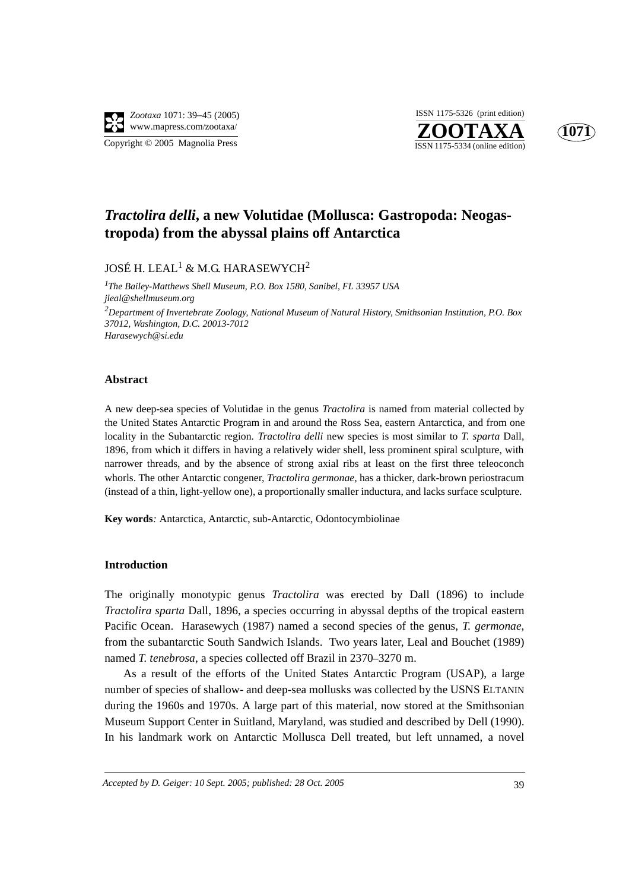

**ZOOTAXA**<br>ISSN 1175-5334 (online edition) ISSN 1175-5326 (print edition)



## *Tractolira delli***, a new Volutidae (Mollusca: Gastropoda: Neogastropoda) from the abyssal plains off Antarctica**

### JOSÉ H. LEAL $^1\,\&$  M.G. HARASEWYCH $^2$

*1 The Bailey-Matthews Shell Museum, P.O. Box 1580, Sanibel, FL 33957 USA jleal@shellmuseum.org 2Department of Invertebrate Zoology, National Museum of Natural History, Smithsonian Institution, P.O. Box 37012, Washington, D.C. 20013-7012 Harasewych@si.edu*

#### **Abstract**

A new deep-sea species of Volutidae in the genus *Tractolira* is named from material collected by the United States Antarctic Program in and around the Ross Sea, eastern Antarctica, and from one locality in the Subantarctic region. *Tractolira delli* new species is most similar to *T. sparta* Dall, 1896, from which it differs in having a relatively wider shell, less prominent spiral sculpture, with narrower threads, and by the absence of strong axial ribs at least on the first three teleoconch whorls. The other Antarctic congener, *Tractolira germonae,* has a thicker, dark-brown periostracum (instead of a thin, light-yellow one), a proportionally smaller inductura, and lacks surface sculpture.

**Key words***:* Antarctica, Antarctic, sub-Antarctic, Odontocymbiolinae

#### **Introduction**

The originally monotypic genus *Tractolira* was erected by Dall (1896) to include *Tractolira sparta* Dall, 1896, a species occurring in abyssal depths of the tropical eastern Pacific Ocean. Harasewych (1987) named a second species of the genus, *T. germonae*, from the subantarctic South Sandwich Islands. Two years later, Leal and Bouchet (1989) named *T. tenebrosa*, a species collected off Brazil in 2370–3270 m.

As a result of the efforts of the United States Antarctic Program (USAP), a large number of species of shallow- and deep-sea mollusks was collected by the USNS ELTANIN during the 1960s and 1970s. A large part of this material, now stored at the Smithsonian Museum Support Center in Suitland, Maryland, was studied and described by Dell (1990). In his landmark work on Antarctic Mollusca Dell treated, but left unnamed, a novel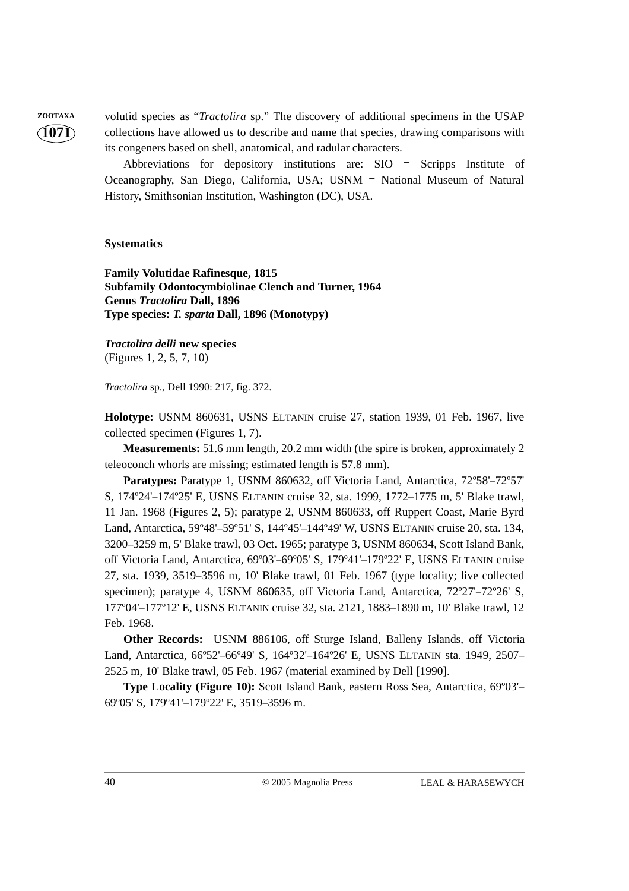**1071**

**ZOOTAXA** volutid species as "*Tractolira* sp." The discovery of additional specimens in the USAP collections have allowed us to describe and name that species, drawing comparisons with its congeners based on shell, anatomical, and radular characters.

> Abbreviations for depository institutions are: SIO = Scripps Institute of Oceanography, San Diego, California, USA; USNM = National Museum of Natural History, Smithsonian Institution, Washington (DC), USA.

#### **Systematics**

**Family Volutidae Rafinesque, 1815 Subfamily Odontocymbiolinae Clench and Turner, 1964 Genus** *Tractolira* **Dall, 1896 Type species:** *T. sparta* **Dall, 1896 (Monotypy)**

*Tractolira delli* **new species** (Figures 1, 2, 5, 7, 10)

*Tractolira* sp., Dell 1990: 217, fig. 372.

**Holotype:** USNM 860631, USNS ELTANIN cruise 27, station 1939, 01 Feb. 1967, live collected specimen (Figures 1, 7).

**Measurements:** 51.6 mm length, 20.2 mm width (the spire is broken, approximately 2 teleoconch whorls are missing; estimated length is 57.8 mm).

**Paratypes:** Paratype 1, USNM 860632, off Victoria Land, Antarctica, 72º58'–72º57' S, 174º24'–174º25' E, USNS ELTANIN cruise 32, sta. 1999, 1772–1775 m, 5' Blake trawl, 11 Jan. 1968 (Figures 2, 5); paratype 2, USNM 860633, off Ruppert Coast, Marie Byrd Land, Antarctica, 59º48'–59º51' S, 144º45'–144º49' W, USNS ELTANIN cruise 20, sta. 134, 3200–3259 m, 5' Blake trawl, 03 Oct. 1965; paratype 3, USNM 860634, Scott Island Bank, off Victoria Land, Antarctica, 69º03'–69º05' S, 179º41'–179º22' E, USNS ELTANIN cruise 27, sta. 1939, 3519–3596 m, 10' Blake trawl, 01 Feb. 1967 (type locality; live collected specimen); paratype 4, USNM 860635, off Victoria Land, Antarctica,  $72^{\circ}27'$ – $72^{\circ}26'$  S, 177º04'–177º12' E, USNS ELTANIN cruise 32, sta. 2121, 1883–1890 m, 10' Blake trawl, 12 Feb. 1968.

**Other Records:** USNM 886106, off Sturge Island, Balleny Islands, off Victoria Land, Antarctica, 66º52'–66º49' S, 164º32'–164º26' E, USNS ELTANIN sta. 1949, 2507– 2525 m, 10' Blake trawl, 05 Feb. 1967 (material examined by Dell [1990].

**Type Locality (Figure 10):** Scott Island Bank, eastern Ross Sea, Antarctica, 69º03'– 69º05' S, 179º41'–179º22' E, 3519–3596 m.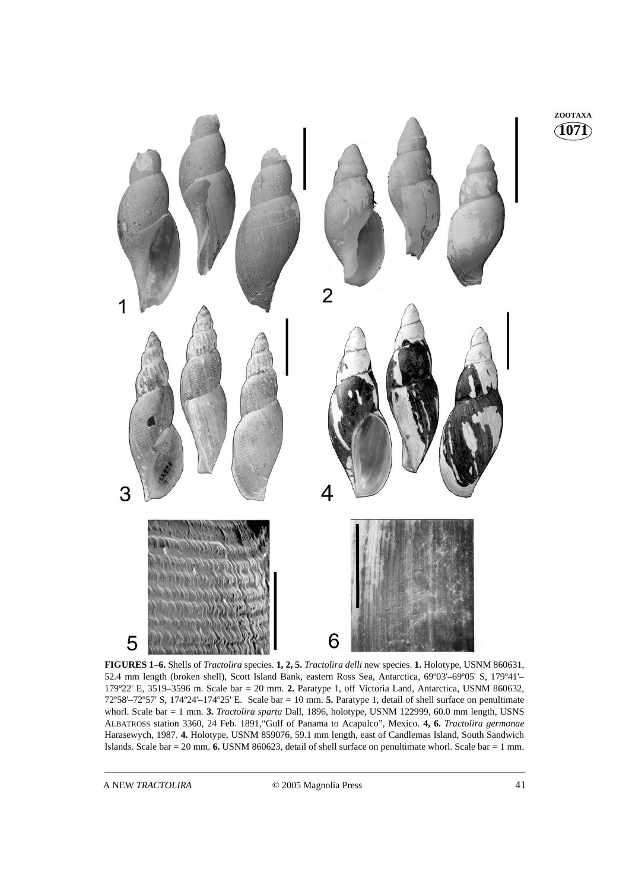

**FIGURES 1**–**6.** Shells of *Tractolira* species. **1, 2, 5.** *Tractolira delli* new species. **1.** Holotype, USNM 860631, 52.4 mm length (broken shell), Scott Island Bank, eastern Ross Sea, Antarctica, 69º03'–69º05' S, 179º41'– 179º22' E, 3519–3596 m. Scale bar = 20 mm. **2.** Paratype 1, off Victoria Land, Antarctica, USNM 860632, 72º58'–72º57' S, 174º24'–174º25' E. Scale bar = 10 mm. **5.** Paratype 1, detail of shell surface on penultimate whorl. Scale bar = 1 mm. **3.** *Tractolira sparta* Dall, 1896, holotype, USNM 122999, 60.0 mm length, USNS ALBATROSS station 3360, 24 Feb. 1891,"Gulf of Panama to Acapulco", Mexico. **4, 6.** *Tractolira germonae* Harasewych, 1987. **4.** Holotype, USNM 859076, 59.1 mm length, east of Candlemas Island, South Sandwich Islands. Scale bar = 20 mm. **6.** USNM 860623, detail of shell surface on penultimate whorl. Scale bar = 1 mm.

**1071 ZOOTAXA**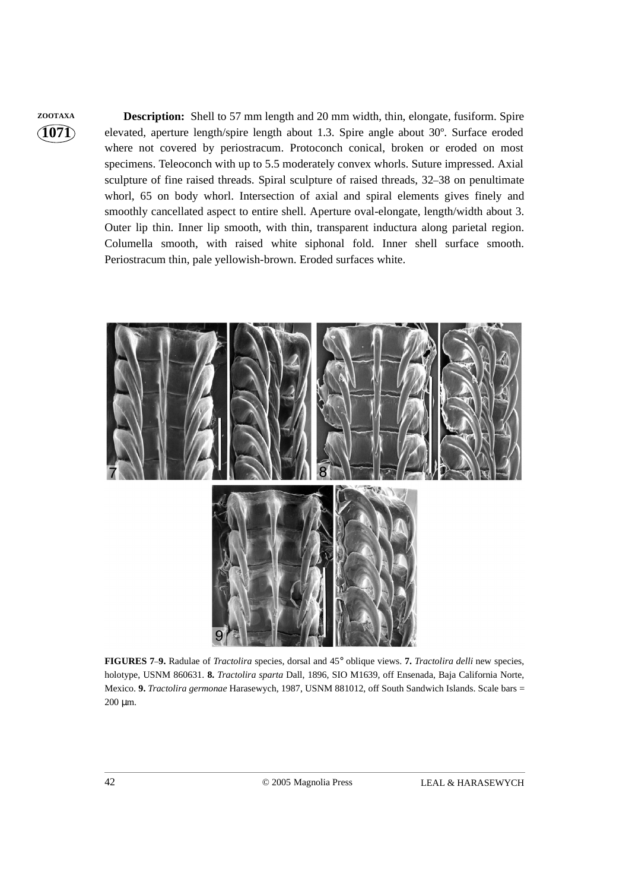# **1071**

**ZOOTAXA Description:** Shell to 57 mm length and 20 mm width, thin, elongate, fusiform. Spire elevated, aperture length/spire length about 1.3. Spire angle about 30º. Surface eroded where not covered by periostracum. Protoconch conical, broken or eroded on most specimens. Teleoconch with up to 5.5 moderately convex whorls. Suture impressed. Axial sculpture of fine raised threads. Spiral sculpture of raised threads, 32–38 on penultimate whorl, 65 on body whorl. Intersection of axial and spiral elements gives finely and smoothly cancellated aspect to entire shell. Aperture oval-elongate, length/width about 3. Outer lip thin. Inner lip smooth, with thin, transparent inductura along parietal region. Columella smooth, with raised white siphonal fold. Inner shell surface smooth. Periostracum thin, pale yellowish-brown. Eroded surfaces white.



**FIGURES 7**–**9.** Radulae of *Tractolira* species, dorsal and 45° oblique views. **7.** *Tractolira delli* new species, holotype, USNM 860631. **8.** *Tractolira sparta* Dall, 1896, SIO M1639, off Ensenada, Baja California Norte, Mexico. **9.** *Tractolira germonae* Harasewych, 1987, USNM 881012, off South Sandwich Islands. Scale bars = 200 µm.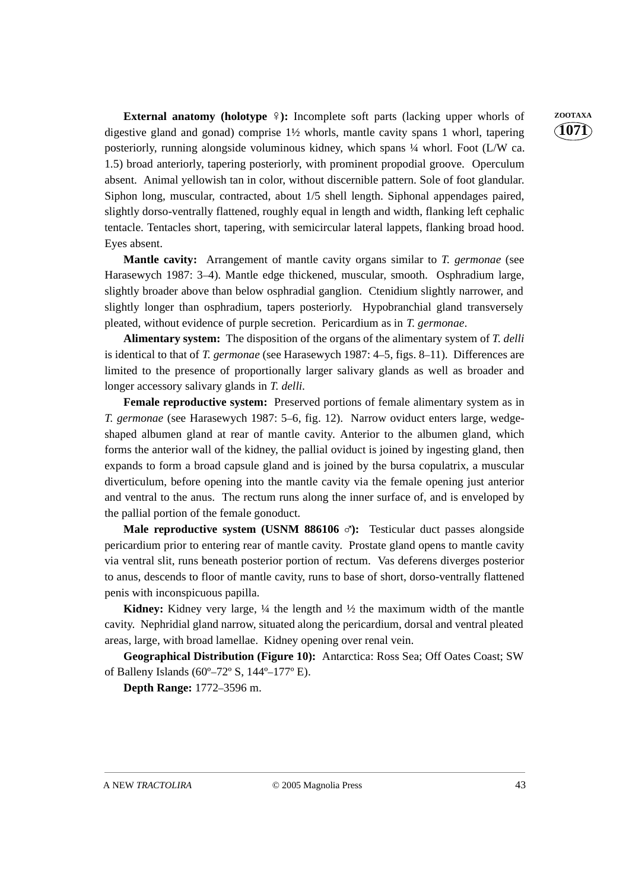**1071**

**External anatomy (holotype**  $\frac{1}{2}$ ): Incomplete soft parts (lacking upper whorls of **ZOOTAXA** digestive gland and gonad) comprise 1½ whorls, mantle cavity spans 1 whorl, tapering posteriorly, running alongside voluminous kidney, which spans ¼ whorl. Foot (L/W ca. 1.5) broad anteriorly, tapering posteriorly, with prominent propodial groove. Operculum absent. Animal yellowish tan in color, without discernible pattern. Sole of foot glandular. Siphon long, muscular, contracted, about 1/5 shell length. Siphonal appendages paired, slightly dorso-ventrally flattened, roughly equal in length and width, flanking left cephalic tentacle. Tentacles short, tapering, with semicircular lateral lappets, flanking broad hood. Eyes absent.

**Mantle cavity:** Arrangement of mantle cavity organs similar to *T. germonae* (see Harasewych 1987: 3–4). Mantle edge thickened, muscular, smooth. Osphradium large, slightly broader above than below osphradial ganglion. Ctenidium slightly narrower, and slightly longer than osphradium, tapers posteriorly. Hypobranchial gland transversely pleated, without evidence of purple secretion. Pericardium as in *T. germonae*.

**Alimentary system:** The disposition of the organs of the alimentary system of *T. delli* is identical to that of *T. germonae* (see Harasewych 1987: 4–5, figs. 8–11). Differences are limited to the presence of proportionally larger salivary glands as well as broader and longer accessory salivary glands in *T. delli*.

**Female reproductive system:** Preserved portions of female alimentary system as in *T. germonae* (see Harasewych 1987: 5–6, fig. 12). Narrow oviduct enters large, wedgeshaped albumen gland at rear of mantle cavity. Anterior to the albumen gland, which forms the anterior wall of the kidney, the pallial oviduct is joined by ingesting gland, then expands to form a broad capsule gland and is joined by the bursa copulatrix, a muscular diverticulum, before opening into the mantle cavity via the female opening just anterior and ventral to the anus. The rectum runs along the inner surface of, and is enveloped by the pallial portion of the female gonoduct.

**Male reproductive system (USNM 886106**  $\sigma$ **):** Testicular duct passes alongside earlier prior to exist passes along the series of many of many the series and the series of many of many the series and the series of many th pericardium prior to entering rear of mantle cavity. Prostate gland opens to mantle cavity via ventral slit, runs beneath posterior portion of rectum. Vas deferens diverges posterior to anus, descends to floor of mantle cavity, runs to base of short, dorso-ventrally flattened penis with inconspicuous papilla.

**Kidney:** Kidney very large, ¼ the length and ½ the maximum width of the mantle cavity. Nephridial gland narrow, situated along the pericardium, dorsal and ventral pleated areas, large, with broad lamellae. Kidney opening over renal vein.

**Geographical Distribution (Figure 10):** Antarctica: Ross Sea; Off Oates Coast; SW of Balleny Islands (60º–72º S, 144º–177º E).

**Depth Range:** 1772–3596 m.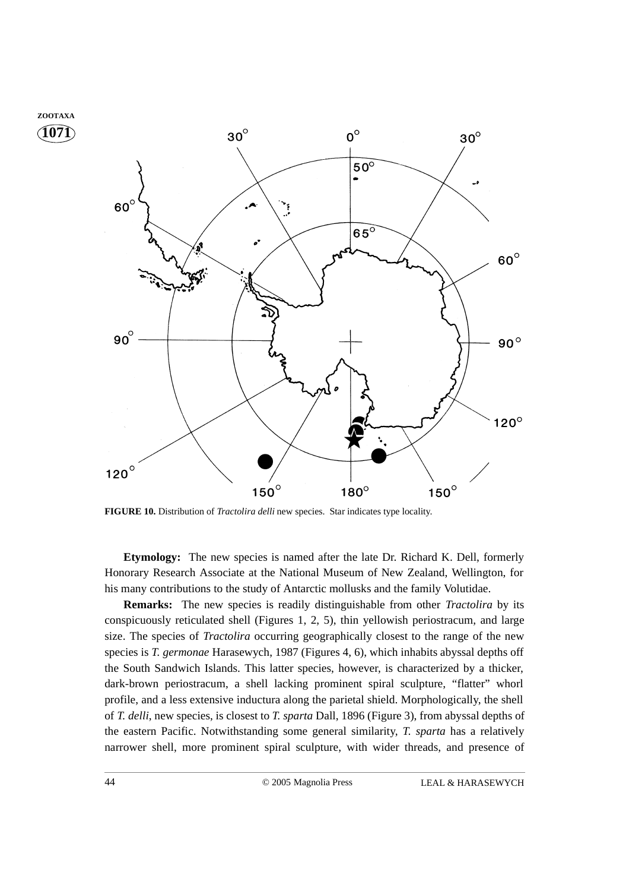

**FIGURE 10.** Distribution of *Tractolira delli* new species. Star indicates type locality.

**Etymology:** The new species is named after the late Dr. Richard K. Dell, formerly Honorary Research Associate at the National Museum of New Zealand, Wellington, for his many contributions to the study of Antarctic mollusks and the family Volutidae.

**Remarks:** The new species is readily distinguishable from other *Tractolira* by its conspicuously reticulated shell (Figures 1, 2, 5), thin yellowish periostracum, and large size. The species of *Tractolira* occurring geographically closest to the range of the new species is *T. germonae* Harasewych, 1987 (Figures 4, 6), which inhabits abyssal depths off the South Sandwich Islands. This latter species, however, is characterized by a thicker, dark-brown periostracum, a shell lacking prominent spiral sculpture, "flatter" whorl profile, and a less extensive inductura along the parietal shield. Morphologically, the shell of *T. delli*, new species, is closest to *T. sparta* Dall, 1896 (Figure 3), from abyssal depths of the eastern Pacific. Notwithstanding some general similarity, *T. sparta* has a relatively narrower shell, more prominent spiral sculpture, with wider threads, and presence of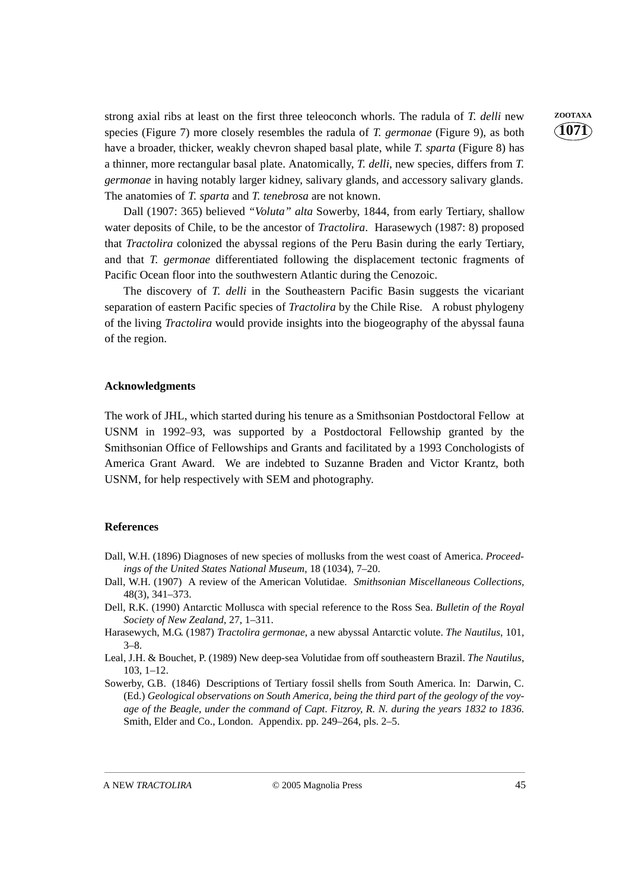strong axial ribs at least on the first three teleoconch whorls. The radula of *T. delli* new **ZOOTAXA** species (Figure 7) more closely resembles the radula of *T. germonae* (Figure 9), as both have a broader, thicker, weakly chevron shaped basal plate, while *T. sparta* (Figure 8) has a thinner, more rectangular basal plate. Anatomically, *T. delli*, new species, differs from *T. germonae* in having notably larger kidney, salivary glands, and accessory salivary glands. The anatomies of *T. sparta* and *T. tenebrosa* are not known.

Dall (1907: 365) believed *"Voluta" alta* Sowerby, 1844, from early Tertiary, shallow water deposits of Chile, to be the ancestor of *Tractolira*. Harasewych (1987: 8) proposed that *Tractolira* colonized the abyssal regions of the Peru Basin during the early Tertiary, and that *T. germonae* differentiated following the displacement tectonic fragments of Pacific Ocean floor into the southwestern Atlantic during the Cenozoic.

The discovery of *T. delli* in the Southeastern Pacific Basin suggests the vicariant separation of eastern Pacific species of *Tractolira* by the Chile Rise. A robust phylogeny of the living *Tractolira* would provide insights into the biogeography of the abyssal fauna of the region.

#### **Acknowledgments**

The work of JHL, which started during his tenure as a Smithsonian Postdoctoral Fellow at USNM in 1992–93, was supported by a Postdoctoral Fellowship granted by the Smithsonian Office of Fellowships and Grants and facilitated by a 1993 Conchologists of America Grant Award. We are indebted to Suzanne Braden and Victor Krantz, both USNM, for help respectively with SEM and photography.

#### **References**

- Dall, W.H. (1896) Diagnoses of new species of mollusks from the west coast of America. *Proceedings of the United States National Museum*, 18 (1034), 7–20.
- Dall, W.H. (1907) A review of the American Volutidae. *Smithsonian Miscellaneous Collections,* 48(3), 341–373.
- Dell, R.K. (1990) Antarctic Mollusca with special reference to the Ross Sea. *Bulletin of the Royal Society of New Zealand*, 27, 1–311.
- Harasewych, M.G. (1987) *Tractolira germonae*, a new abyssal Antarctic volute. *The Nautilus*, 101, 3–8.
- Leal, J.H. & Bouchet, P. (1989) New deep-sea Volutidae from off southeastern Brazil. *The Nautilus*, 103, 1–12.
- Sowerby, G.B. (1846) Descriptions of Tertiary fossil shells from South America. In: Darwin, C. (Ed.) *Geological observations on South America, being the third part of the geology of the voyage of the Beagle, under the command of Capt. Fitzroy, R. N. during the years 1832 to 1836.* Smith, Elder and Co., London. Appendix. pp. 249–264, pls. 2–5.